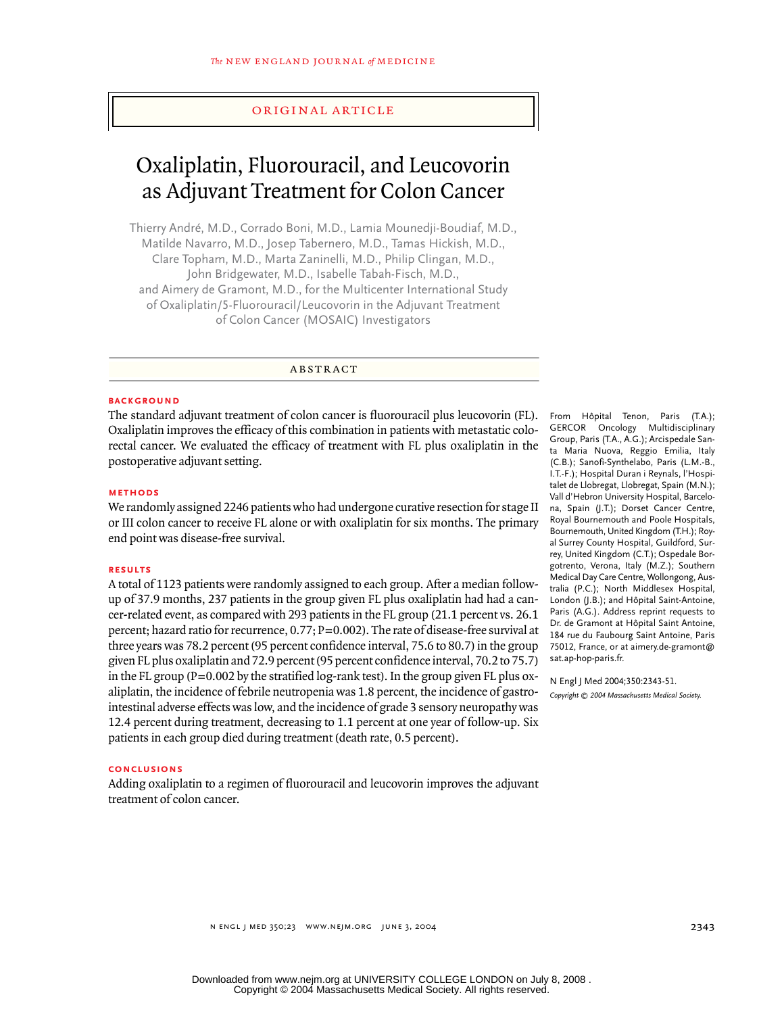## original article

# Oxaliplatin, Fluorouracil, and Leucovorin as Adjuvant Treatment for Colon Cancer

Thierry André, M.D., Corrado Boni, M.D., Lamia Mounedji-Boudiaf, M.D., Matilde Navarro, M.D., Josep Tabernero, M.D., Tamas Hickish, M.D., Clare Topham, M.D., Marta Zaninelli, M.D., Philip Clingan, M.D., John Bridgewater, M.D., Isabelle Tabah-Fisch, M.D., and Aimery de Gramont, M.D., for the Multicenter International Study of Oxaliplatin/5-Fluorouracil/Leucovorin in the Adjuvant Treatment of Colon Cancer (MOSAIC) Investigators

## **ABSTRACT**

# **BACKGROUND**

The standard adjuvant treatment of colon cancer is fluorouracil plus leucovorin (FL). Oxaliplatin improves the efficacy of this combination in patients with metastatic colorectal cancer. We evaluated the efficacy of treatment with FL plus oxaliplatin in the postoperative adjuvant setting.

#### **methods**

We randomly assigned 2246 patients who had undergone curative resection for stage II or III colon cancer to receive FL alone or with oxaliplatin for six months. The primary end point was disease-free survival.

## **results**

A total of 1123 patients were randomly assigned to each group. After a median followup of 37.9 months, 237 patients in the group given FL plus oxaliplatin had had a cancer-related event, as compared with 293 patients in the FL group (21.1 percent vs. 26.1 percent; hazard ratio for recurrence, 0.77; P=0.002). The rate of disease-free survival at three years was 78.2 percent (95 percent confidence interval, 75.6 to 80.7) in the group given FL plus oxaliplatin and 72.9 percent (95 percent confidence interval, 70.2 to 75.7) in the FL group ( $P=0.002$  by the stratified log-rank test). In the group given FL plus oxaliplatin, the incidence of febrile neutropenia was 1.8 percent, the incidence of gastrointestinal adverse effects was low, and the incidence of grade 3 sensory neuropathy was 12.4 percent during treatment, decreasing to 1.1 percent at one year of follow-up. Six patients in each group died during treatment (death rate, 0.5 percent).

From Hôpital Tenon, Paris (T.A.); GERCOR Oncology Multidisciplinary Group, Paris (T.A., A.G.); Arcispedale Santa Maria Nuova, Reggio Emilia, Italy (C.B.); Sanofi-Synthelabo, Paris (L.M.-B., I.T.-F.); Hospital Duran i Reynals, l'Hospitalet de Llobregat, Llobregat, Spain (M.N.); Vall d'Hebron University Hospital, Barcelona, Spain (J.T.); Dorset Cancer Centre, Royal Bournemouth and Poole Hospitals, Bournemouth, United Kingdom (T.H.); Royal Surrey County Hospital, Guildford, Surrey, United Kingdom (C.T.); Ospedale Borgotrento, Verona, Italy (M.Z.); Southern Medical Day Care Centre, Wollongong, Australia (P.C.); North Middlesex Hospital, London (J.B.); and Hôpital Saint-Antoine, Paris (A.G.). Address reprint requests to Dr. de Gramont at Hôpital Saint Antoine, 184 rue du Faubourg Saint Antoine, Paris 75012, France, or at aimery.de-gramont@ sat.ap-hop-paris.fr.

N Engl J Med 2004;350:2343-51. *Copyright © 2004 Massachusetts Medical Society.*

#### **conclusions**

Adding oxaliplatin to a regimen of fluorouracil and leucovorin improves the adjuvant treatment of colon cancer.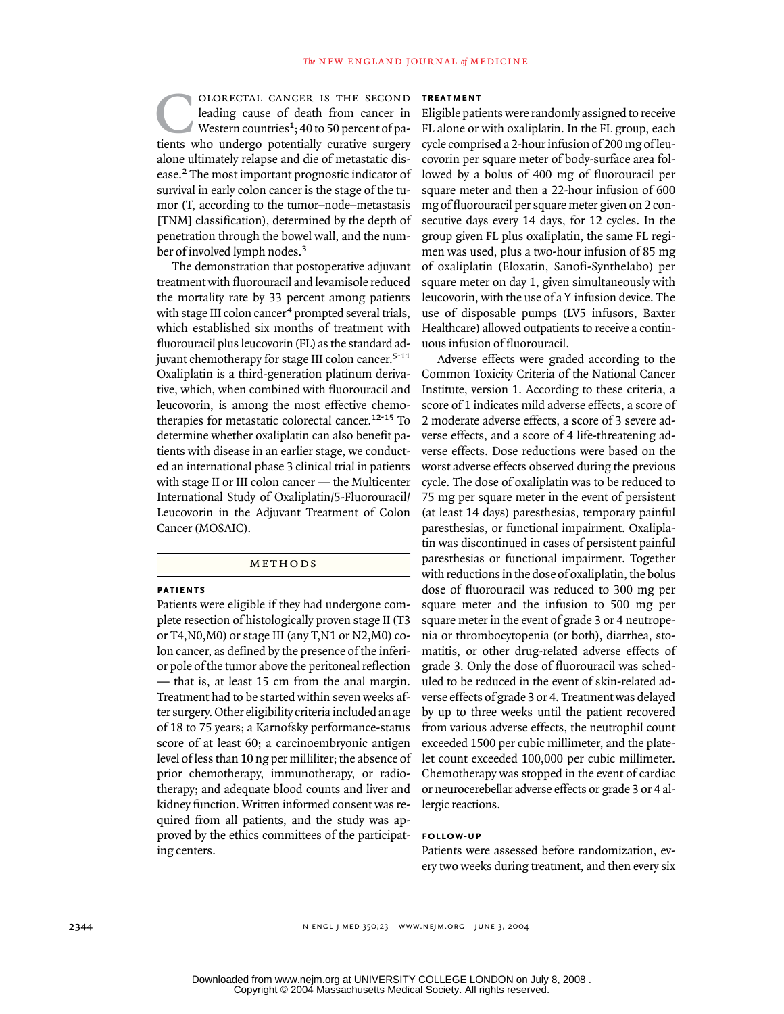olorectal cancer is the second leading cause of death from cancer in Western countries<sup>1</sup>; 40 to 50 percent of patients who undergo potentially curative surgery alone ultimately relapse and die of metastatic disease.2 The most important prognostic indicator of survival in early colon cancer is the stage of the tumor (T, according to the tumor–node–metastasis [TNM] classification), determined by the depth of penetration through the bowel wall, and the number of involved lymph nodes.<sup>3</sup> c

The demonstration that postoperative adjuvant treatment with fluorouracil and levamisole reduced the mortality rate by 33 percent among patients with stage III colon cancer<sup>4</sup> prompted several trials, which established six months of treatment with fluorouracil plus leucovorin (FL) as the standard adjuvant chemotherapy for stage III colon cancer.<sup>5-11</sup> Oxaliplatin is a third-generation platinum derivative, which, when combined with fluorouracil and leucovorin, is among the most effective chemotherapies for metastatic colorectal cancer.<sup>12-15</sup> To determine whether oxaliplatin can also benefit patients with disease in an earlier stage, we conducted an international phase 3 clinical trial in patients with stage II or III colon cancer — the Multicenter International Study of Oxaliplatin/5-Fluorouracil/ Leucovorin in the Adjuvant Treatment of Colon Cancer (MOSAIC).

#### methods

## **patients**

Patients were eligible if they had undergone complete resection of histologically proven stage II (T3 or T4,N0,M0) or stage III (any T,N1 or N2,M0) colon cancer, as defined by the presence of the inferior pole of the tumor above the peritoneal reflection — that is, at least 15 cm from the anal margin. Treatment had to be started within seven weeks after surgery. Other eligibility criteria included an age of 18 to 75 years; a Karnofsky performance-status score of at least 60; a carcinoembryonic antigen level of less than 10 ng per milliliter; the absence of prior chemotherapy, immunotherapy, or radiotherapy; and adequate blood counts and liver and kidney function. Written informed consent was required from all patients, and the study was approved by the ethics committees of the participating centers.

# **treatment**

Eligible patients were randomly assigned to receive FL alone or with oxaliplatin. In the FL group, each cycle comprised a 2-hour infusion of 200 mg of leucovorin per square meter of body-surface area followed by a bolus of 400 mg of fluorouracil per square meter and then a 22-hour infusion of 600 mg of fluorouracil per square meter given on 2 consecutive days every 14 days, for 12 cycles. In the group given FL plus oxaliplatin, the same FL regimen was used, plus a two-hour infusion of 85 mg of oxaliplatin (Eloxatin, Sanofi-Synthelabo) per square meter on day 1, given simultaneously with leucovorin, with the use of a Y infusion device. The use of disposable pumps (LV5 infusors, Baxter Healthcare) allowed outpatients to receive a continuous infusion of fluorouracil.

Adverse effects were graded according to the Common Toxicity Criteria of the National Cancer Institute, version 1. According to these criteria, a score of 1 indicates mild adverse effects, a score of 2 moderate adverse effects, a score of 3 severe adverse effects, and a score of 4 life-threatening adverse effects. Dose reductions were based on the worst adverse effects observed during the previous cycle. The dose of oxaliplatin was to be reduced to 75 mg per square meter in the event of persistent (at least 14 days) paresthesias, temporary painful paresthesias, or functional impairment. Oxaliplatin was discontinued in cases of persistent painful paresthesias or functional impairment. Together with reductions in the dose of oxaliplatin, the bolus dose of fluorouracil was reduced to 300 mg per square meter and the infusion to 500 mg per square meter in the event of grade 3 or 4 neutropenia or thrombocytopenia (or both), diarrhea, stomatitis, or other drug-related adverse effects of grade 3. Only the dose of fluorouracil was scheduled to be reduced in the event of skin-related adverse effects of grade 3 or 4. Treatment was delayed by up to three weeks until the patient recovered from various adverse effects, the neutrophil count exceeded 1500 per cubic millimeter, and the platelet count exceeded 100,000 per cubic millimeter. Chemotherapy was stopped in the event of cardiac or neurocerebellar adverse effects or grade 3 or 4 allergic reactions.

#### **follow-up**

Patients were assessed before randomization, every two weeks during treatment, and then every six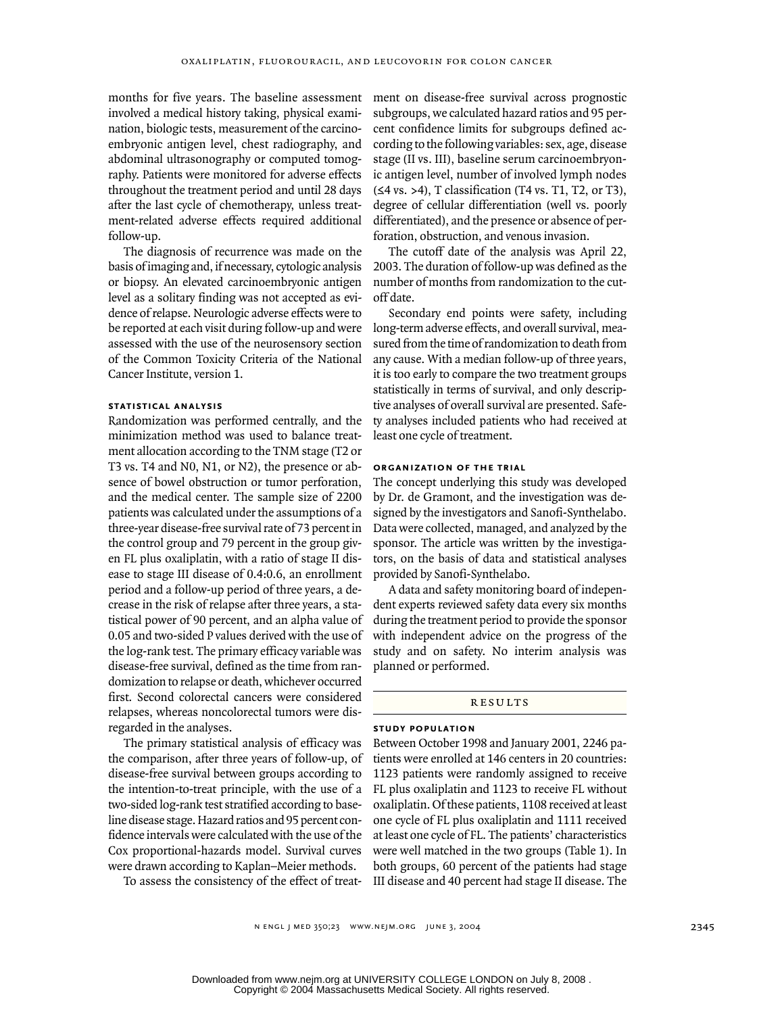months for five years. The baseline assessment involved a medical history taking, physical examination, biologic tests, measurement of the carcinoembryonic antigen level, chest radiography, and abdominal ultrasonography or computed tomography. Patients were monitored for adverse effects throughout the treatment period and until 28 days after the last cycle of chemotherapy, unless treatment-related adverse effects required additional follow-up.

The diagnosis of recurrence was made on the basis of imaging and, if necessary, cytologic analysis or biopsy. An elevated carcinoembryonic antigen level as a solitary finding was not accepted as evidence of relapse. Neurologic adverse effects were to be reported at each visit during follow-up and were assessed with the use of the neurosensory section of the Common Toxicity Criteria of the National Cancer Institute, version 1.

#### **statistical analysis**

Randomization was performed centrally, and the minimization method was used to balance treatment allocation according to the TNM stage (T2 or T3 vs. T4 and N0, N1, or N2), the presence or absence of bowel obstruction or tumor perforation, and the medical center. The sample size of 2200 patients was calculated under the assumptions of a three-year disease-free survival rate of 73 percent in the control group and 79 percent in the group given FL plus oxaliplatin, with a ratio of stage II disease to stage III disease of 0.4:0.6, an enrollment period and a follow-up period of three years, a decrease in the risk of relapse after three years, a statistical power of 90 percent, and an alpha value of 0.05 and two-sided P values derived with the use of the log-rank test. The primary efficacy variable was disease-free survival, defined as the time from randomization to relapse or death, whichever occurred first. Second colorectal cancers were considered relapses, whereas noncolorectal tumors were disregarded in the analyses.

The primary statistical analysis of efficacy was the comparison, after three years of follow-up, of disease-free survival between groups according to the intention-to-treat principle, with the use of a two-sided log-rank test stratified according to baseline disease stage. Hazard ratios and 95 percent confidence intervals were calculated with the use of the Cox proportional-hazards model. Survival curves were drawn according to Kaplan–Meier methods.

To assess the consistency of the effect of treat-

ment on disease-free survival across prognostic subgroups, we calculated hazard ratios and 95 percent confidence limits for subgroups defined according to the following variables: sex, age, disease stage (II vs. III), baseline serum carcinoembryonic antigen level, number of involved lymph nodes (≤4 vs. >4), T classification (T4 vs. T1, T2, or T3), degree of cellular differentiation (well vs. poorly differentiated), and the presence or absence of perforation, obstruction, and venous invasion.

The cutoff date of the analysis was April 22, 2003. The duration of follow-up was defined as the number of months from randomization to the cutoff date.

Secondary end points were safety, including long-term adverse effects, and overall survival, measured from the time of randomization to death from any cause. With a median follow-up of three years, it is too early to compare the two treatment groups statistically in terms of survival, and only descriptive analyses of overall survival are presented. Safety analyses included patients who had received at least one cycle of treatment.

# **organization of the trial**

The concept underlying this study was developed by Dr. de Gramont, and the investigation was designed by the investigators and Sanofi-Synthelabo. Data were collected, managed, and analyzed by the sponsor. The article was written by the investigators, on the basis of data and statistical analyses provided by Sanofi-Synthelabo.

A data and safety monitoring board of independent experts reviewed safety data every six months during the treatment period to provide the sponsor with independent advice on the progress of the study and on safety. No interim analysis was planned or performed.

results

#### **study population**

Between October 1998 and January 2001, 2246 patients were enrolled at 146 centers in 20 countries: 1123 patients were randomly assigned to receive FL plus oxaliplatin and 1123 to receive FL without oxaliplatin. Of these patients, 1108 received at least one cycle of FL plus oxaliplatin and 1111 received at least one cycle of FL. The patients' characteristics were well matched in the two groups (Table 1). In both groups, 60 percent of the patients had stage III disease and 40 percent had stage II disease. The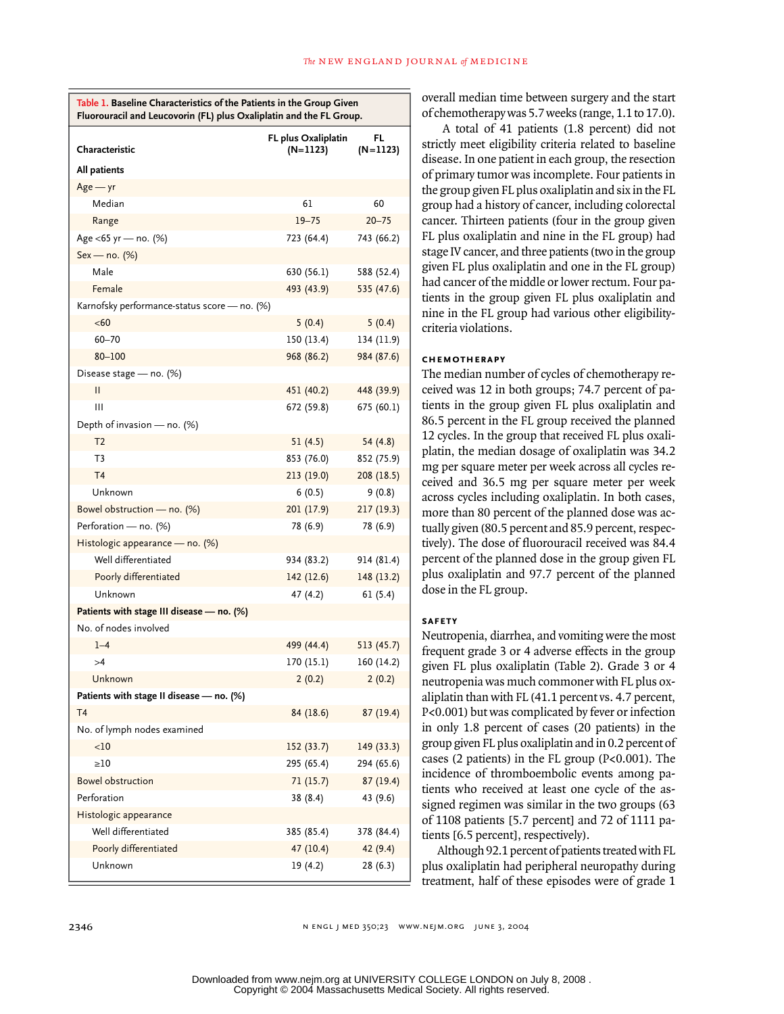| Table 1. Baseline Characteristics of the Patients in the Group Given<br>Fluorouracil and Leucovorin (FL) plus Oxaliplatin and the FL Group. |                                 |                  |  |
|---------------------------------------------------------------------------------------------------------------------------------------------|---------------------------------|------------------|--|
| Characteristic                                                                                                                              | FL plus Oxaliplatin<br>(N=1123) | FL<br>$(N=1123)$ |  |
| All patients                                                                                                                                |                                 |                  |  |
| $Age - yr$                                                                                                                                  |                                 |                  |  |
| Median                                                                                                                                      | 61                              | 60               |  |
| Range                                                                                                                                       | $19 - 75$                       | $20 - 75$        |  |
| Age <65 yr - no. (%)                                                                                                                        | 723 (64.4)                      | 743 (66.2)       |  |
| $Sex - no.$ (%)                                                                                                                             |                                 |                  |  |
| Male                                                                                                                                        | 630 (56.1)                      | 588 (52.4)       |  |
| Female                                                                                                                                      | 493 (43.9)                      | 535 (47.6)       |  |
| Karnofsky performance-status score - no. (%)                                                                                                |                                 |                  |  |
| <60                                                                                                                                         | 5(0.4)                          | 5(0.4)           |  |
| $60 - 70$                                                                                                                                   | 150 (13.4)                      | 134 (11.9)       |  |
| $80 - 100$                                                                                                                                  | 968 (86.2)                      | 984 (87.6)       |  |
| Disease stage - no. (%)                                                                                                                     |                                 |                  |  |
| $\mathbf{II}$                                                                                                                               | 451 (40.2)                      | 448 (39.9)       |  |
| Ш                                                                                                                                           | 672 (59.8)                      | 675 (60.1)       |  |
| Depth of invasion - no. (%)                                                                                                                 |                                 |                  |  |
| T <sub>2</sub>                                                                                                                              | 51(4.5)                         | 54(4.8)          |  |
| T3                                                                                                                                          | 853 (76.0)                      | 852 (75.9)       |  |
| T <sub>4</sub>                                                                                                                              | 213 (19.0)                      | 208 (18.5)       |  |
| Unknown                                                                                                                                     | 6(0.5)                          | 9(0.8)           |  |
| Bowel obstruction - no. (%)                                                                                                                 | 201 (17.9)                      | 217 (19.3)       |  |
| Perforation - no. (%)                                                                                                                       | 78 (6.9)                        | 78 (6.9)         |  |
| Histologic appearance - no. (%)                                                                                                             |                                 |                  |  |
| Well differentiated                                                                                                                         | 934 (83.2)                      | 914 (81.4)       |  |
| Poorly differentiated                                                                                                                       | 142 (12.6)                      | 148 (13.2)       |  |
| Unknown                                                                                                                                     | 47 (4.2)                        | 61(5.4)          |  |
| Patients with stage III disease - no. (%)                                                                                                   |                                 |                  |  |
| No. of nodes involved                                                                                                                       |                                 |                  |  |
| $1 - 4$                                                                                                                                     | 499 (44.4)                      | 513 (45.7)       |  |
| >4                                                                                                                                          | 170 (15.1)                      | 160 (14.2)       |  |
| Unknown                                                                                                                                     | 2(0.2)                          | 2(0.2)           |  |
| Patients with stage II disease - no. (%)                                                                                                    |                                 |                  |  |
| T <sub>4</sub>                                                                                                                              | 84 (18.6)                       | 87 (19.4)        |  |
| No. of lymph nodes examined                                                                                                                 |                                 |                  |  |
| $<$ 10                                                                                                                                      | 152 (33.7)                      | 149 (33.3)       |  |
| $\geq 10$                                                                                                                                   | 295 (65.4)                      | 294 (65.6)       |  |
| <b>Bowel obstruction</b>                                                                                                                    | 71(15.7)                        | 87 (19.4)        |  |
| Perforation                                                                                                                                 | 38 (8.4)                        | 43 (9.6)         |  |
| Histologic appearance                                                                                                                       |                                 |                  |  |
| Well differentiated                                                                                                                         | 385 (85.4)                      | 378 (84.4)       |  |
| Poorly differentiated                                                                                                                       | 47 (10.4)                       | 42 (9.4)         |  |
| Unknown                                                                                                                                     | 19(4.2)                         | 28 (6.3)         |  |

overall median time between surgery and the start of chemotherapy was 5.7 weeks (range, 1.1 to 17.0).

 A total of 41 patients (1.8 percent) did not strictly meet eligibility criteria related to baseline disease. In one patient in each group, the resection of primary tumor was incomplete. Four patients in the group given FL plus oxaliplatin and six in the FL group had a history of cancer, including colorectal cancer. Thirteen patients (four in the group given FL plus oxaliplatin and nine in the FL group) had stage IV cancer, and three patients (two in the group given FL plus oxaliplatin and one in the FL group) had cancer of the middle or lower rectum. Four patients in the group given FL plus oxaliplatin and nine in the FL group had various other eligibilitycriteria violations.

## **chemotherapy**

The median number of cycles of chemotherapy received was 12 in both groups; 74.7 percent of patients in the group given FL plus oxaliplatin and 86.5 percent in the FL group received the planned 12 cycles. In the group that received FL plus oxaliplatin, the median dosage of oxaliplatin was 34.2 mg per square meter per week across all cycles received and 36.5 mg per square meter per week across cycles including oxaliplatin. In both cases, more than 80 percent of the planned dose was actually given (80.5 percent and 85.9 percent, respectively). The dose of fluorouracil received was 84.4 percent of the planned dose in the group given FL plus oxaliplatin and 97.7 percent of the planned dose in the FL group.

#### **safety**

Neutropenia, diarrhea, and vomiting were the most frequent grade 3 or 4 adverse effects in the group given FL plus oxaliplatin (Table 2). Grade 3 or 4 neutropenia was much commoner with FL plus oxaliplatin than with FL (41.1 percent vs. 4.7 percent, P<0.001) but was complicated by fever or infection in only 1.8 percent of cases (20 patients) in the group given FL plus oxaliplatin and in 0.2 percent of cases (2 patients) in the FL group (P<0.001). The incidence of thromboembolic events among patients who received at least one cycle of the assigned regimen was similar in the two groups (63 of 1108 patients [5.7 percent] and 72 of 1111 patients [6.5 percent], respectively).

Although 92.1 percent of patients treated with FL plus oxaliplatin had peripheral neuropathy during treatment, half of these episodes were of grade 1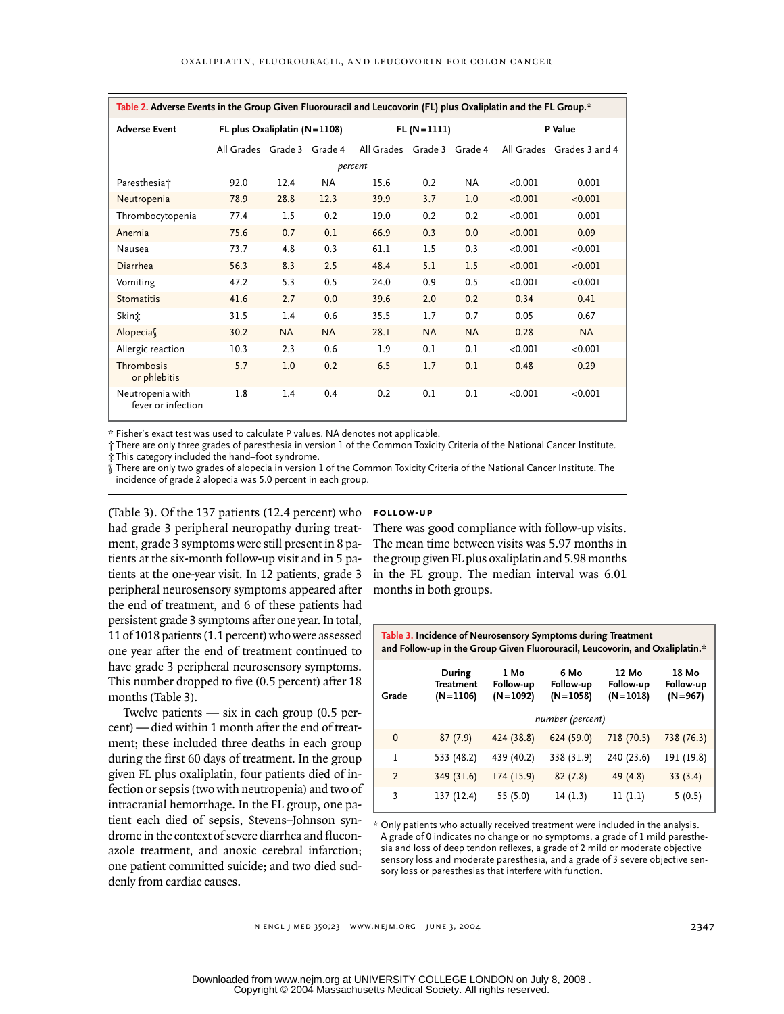| Table 2. Adverse Events in the Group Given Fluorouracil and Leucovorin (FL) plus Oxaliplatin and the FL Group.* |                              |           |              |                            |           |           |         |                           |
|-----------------------------------------------------------------------------------------------------------------|------------------------------|-----------|--------------|----------------------------|-----------|-----------|---------|---------------------------|
| <b>Adverse Event</b>                                                                                            | FL plus Oxaliplatin (N=1108) |           | $FL(N=1111)$ |                            |           | P Value   |         |                           |
|                                                                                                                 | All Grades Grade 3 Grade 4   |           |              | All Grades Grade 3 Grade 4 |           |           |         | All Grades Grades 3 and 4 |
|                                                                                                                 |                              |           |              | percent                    |           |           |         |                           |
| Paresthesia <sup>+</sup>                                                                                        | 92.0                         | 12.4      | <b>NA</b>    | 15.6                       | 0.2       | <b>NA</b> | < 0.001 | 0.001                     |
| Neutropenia                                                                                                     | 78.9                         | 28.8      | 12.3         | 39.9                       | 3.7       | 1.0       | < 0.001 | < 0.001                   |
| Thrombocytopenia                                                                                                | 77.4                         | 1.5       | 0.2          | 19.0                       | 0.2       | 0.2       | < 0.001 | 0.001                     |
| Anemia                                                                                                          | 75.6                         | 0.7       | 0.1          | 66.9                       | 0.3       | 0.0       | < 0.001 | 0.09                      |
| Nausea                                                                                                          | 73.7                         | 4.8       | 0.3          | 61.1                       | 1.5       | 0.3       | < 0.001 | < 0.001                   |
| Diarrhea                                                                                                        | 56.3                         | 8.3       | 2.5          | 48.4                       | 5.1       | 1.5       | < 0.001 | < 0.001                   |
| Vomiting                                                                                                        | 47.2                         | 5.3       | 0.5          | 24.0                       | 0.9       | 0.5       | < 0.001 | < 0.001                   |
| <b>Stomatitis</b>                                                                                               | 41.6                         | 2.7       | 0.0          | 39.6                       | 2.0       | 0.2       | 0.34    | 0.41                      |
| Skint                                                                                                           | 31.5                         | 1.4       | 0.6          | 35.5                       | 1.7       | 0.7       | 0.05    | 0.67                      |
| Alopecia                                                                                                        | 30.2                         | <b>NA</b> | <b>NA</b>    | 28.1                       | <b>NA</b> | <b>NA</b> | 0.28    | <b>NA</b>                 |
| Allergic reaction                                                                                               | 10.3                         | 2.3       | 0.6          | 1.9                        | 0.1       | 0.1       | < 0.001 | < 0.001                   |
| Thrombosis<br>or phlebitis                                                                                      | 5.7                          | 1.0       | 0.2          | 6.5                        | 1.7       | 0.1       | 0.48    | 0.29                      |
| Neutropenia with<br>fever or infection                                                                          | 1.8                          | 1.4       | 0.4          | 0.2                        | 0.1       | 0.1       | < 0.001 | < 0.001                   |

\* Fisher's exact test was used to calculate P values. NA denotes not applicable.

† There are only three grades of paresthesia in version 1 of the Common Toxicity Criteria of the National Cancer Institute.

‡ This category included the hand–foot syndrome.

§ There are only two grades of alopecia in version 1 of the Common Toxicity Criteria of the National Cancer Institute. The incidence of grade 2 alopecia was 5.0 percent in each group.

(Table 3). Of the 137 patients (12.4 percent) who had grade 3 peripheral neuropathy during treatment, grade 3 symptoms were still present in 8 patients at the six-month follow-up visit and in 5 patients at the one-year visit. In 12 patients, grade 3 peripheral neurosensory symptoms appeared after the end of treatment, and 6 of these patients had persistent grade 3 symptoms after one year. In total, 11 of 1018 patients (1.1 percent) who were assessed one year after the end of treatment continued to have grade 3 peripheral neurosensory symptoms. This number dropped to five (0.5 percent) after 18 months (Table 3).

Twelve patients — six in each group (0.5 percent) — died within 1 month after the end of treatment; these included three deaths in each group during the first 60 days of treatment. In the group given FL plus oxaliplatin, four patients died of infection or sepsis (two with neutropenia) and two of intracranial hemorrhage. In the FL group, one patient each died of sepsis, Stevens–Johnson syndrome in the context of severe diarrhea and fluconazole treatment, and anoxic cerebral infarction; one patient committed suicide; and two died suddenly from cardiac causes.

## **follow-up**

There was good compliance with follow-up visits. The mean time between visits was 5.97 months in the group given FL plus oxaliplatin and 5.98 months in the FL group. The median interval was 6.01 months in both groups.

| Table 3. Incidence of Neurosensory Symptoms during Treatment<br>and Follow-up in the Group Given Fluorouracil, Leucovorin, and Oxaliplatin.* |                                   |                                 |                                   |                                  |                                 |
|----------------------------------------------------------------------------------------------------------------------------------------------|-----------------------------------|---------------------------------|-----------------------------------|----------------------------------|---------------------------------|
| Grade                                                                                                                                        | During<br>Treatment<br>$(N=1106)$ | 1 Mo<br>Follow-up<br>$(N=1092)$ | 6 Mo<br>Follow-up<br>$(N = 1058)$ | 12 Mo<br>Follow-up<br>$(N=1018)$ | 18 Mo<br>Follow-up<br>$(N=967)$ |
|                                                                                                                                              |                                   |                                 | number (percent)                  |                                  |                                 |
| $\mathbf 0$                                                                                                                                  | 87(7.9)                           | 424 (38.8)                      | 624 (59.0)                        | 718 (70.5)                       | 738 (76.3)                      |
| 1                                                                                                                                            | 533 (48.2)                        | 439 (40.2)                      | 338 (31.9)                        | 240 (23.6)                       | 191 (19.8)                      |
| $\overline{2}$                                                                                                                               | 349 (31.6)                        | 174 (15.9)                      | 82(7.8)                           | 49 (4.8)                         | 33(3.4)                         |
| 3                                                                                                                                            | 137 (12.4)                        | 55 (5.0)                        | 14(1.3)                           | 11(1.1)                          | 5(0.5)                          |

\* Only patients who actually received treatment were included in the analysis. A grade of 0 indicates no change or no symptoms, a grade of 1 mild paresthesia and loss of deep tendon reflexes, a grade of 2 mild or moderate objective sensory loss and moderate paresthesia, and a grade of 3 severe objective sensory loss or paresthesias that interfere with function.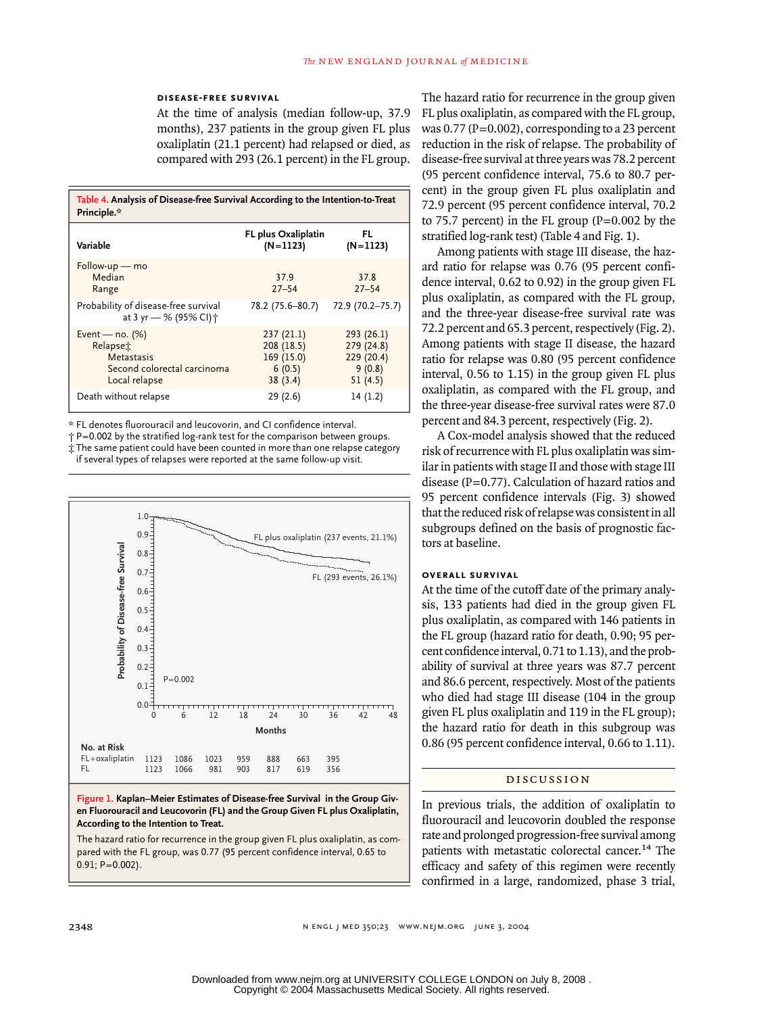# **disease-free survival**

At the time of analysis (median follow-up, 37.9 months), 237 patients in the group given FL plus oxaliplatin (21.1 percent) had relapsed or died, as compared with 293 (26.1 percent) in the FL group.

**Table 4. Analysis of Disease-free Survival According to the Intention-to-Treat Principle.\*** 

| Variable                                                                                     | FL plus Oxaliplatin<br>$(N=1123)$                          | FL<br>$(N=1123)$                                           |
|----------------------------------------------------------------------------------------------|------------------------------------------------------------|------------------------------------------------------------|
| $Follow-up$ — mo<br>Median<br>Range                                                          | 37.9<br>$27 - 54$                                          | 37.8<br>$27 - 54$                                          |
| Probability of disease-free survival<br>at 3 yr $-$ % (95% CI) $\uparrow$                    | 78.2 (75.6-80.7)                                           | 72.9 (70.2-75.7)                                           |
| Event — no. $(\%)$<br>Relapset<br>Metastasis<br>Second colorectal carcinoma<br>Local relapse | 237(21.1)<br>208 (18.5)<br>169 (15.0)<br>6(0.5)<br>38(3.4) | 293(26.1)<br>279 (24.8)<br>229 (20.4)<br>9(0.8)<br>51(4.5) |
| Death without relapse                                                                        | 29(2.6)                                                    | 14(1.2)                                                    |

\* FL denotes fluorouracil and leucovorin, and CI confidence interval.

† P=0.002 by the stratified log-rank test for the comparison between groups. ‡ The same patient could have been counted in more than one relapse category

if several types of relapses were reported at the same follow-up visit.



**Figure 1. Kaplan–Meier Estimates of Disease-free Survival in the Group Given Fluorouracil and Leucovorin (FL) and the Group Given FL plus Oxaliplatin, According to the Intention to Treat.**

The hazard ratio for recurrence in the group given FL plus oxaliplatin, as compared with the FL group, was 0.77 (95 percent confidence interval, 0.65 to  $0.91; P=0.002$ ).

The hazard ratio for recurrence in the group given FL plus oxaliplatin, as compared with the FL group, was 0.77 ( $P=0.002$ ), corresponding to a 23 percent reduction in the risk of relapse. The probability of disease-free survival at three years was 78.2 percent (95 percent confidence interval, 75.6 to 80.7 percent) in the group given FL plus oxaliplatin and 72.9 percent (95 percent confidence interval, 70.2 to 75.7 percent) in the FL group  $(P=0.002$  by the stratified log-rank test) (Table 4 and Fig. 1).

Among patients with stage III disease, the hazard ratio for relapse was 0.76 (95 percent confidence interval, 0.62 to 0.92) in the group given FL plus oxaliplatin, as compared with the FL group, and the three-year disease-free survival rate was 72.2 percent and 65.3 percent, respectively (Fig. 2). Among patients with stage II disease, the hazard ratio for relapse was 0.80 (95 percent confidence interval, 0.56 to 1.15) in the group given FL plus oxaliplatin, as compared with the FL group, and the three-year disease-free survival rates were 87.0 percent and 84.3 percent, respectively (Fig. 2).

A Cox-model analysis showed that the reduced risk of recurrence with FL plus oxaliplatin was similar in patients with stage II and those with stage III disease ( $P=0.77$ ). Calculation of hazard ratios and 95 percent confidence intervals (Fig. 3) showed that the reduced risk of relapse was consistent in all subgroups defined on the basis of prognostic factors at baseline.

#### **overall survival**

At the time of the cutoff date of the primary analysis, 133 patients had died in the group given FL plus oxaliplatin, as compared with 146 patients in the FL group (hazard ratio for death, 0.90; 95 percent confidence interval, 0.71 to 1.13), and the probability of survival at three years was 87.7 percent and 86.6 percent, respectively. Most of the patients who died had stage III disease (104 in the group given FL plus oxaliplatin and 119 in the FL group); the hazard ratio for death in this subgroup was 0.86 (95 percent confidence interval, 0.66 to 1.11).

## discussion

In previous trials, the addition of oxaliplatin to fluorouracil and leucovorin doubled the response rate and prolonged progression-free survival among patients with metastatic colorectal cancer.14 The efficacy and safety of this regimen were recently confirmed in a large, randomized, phase 3 trial,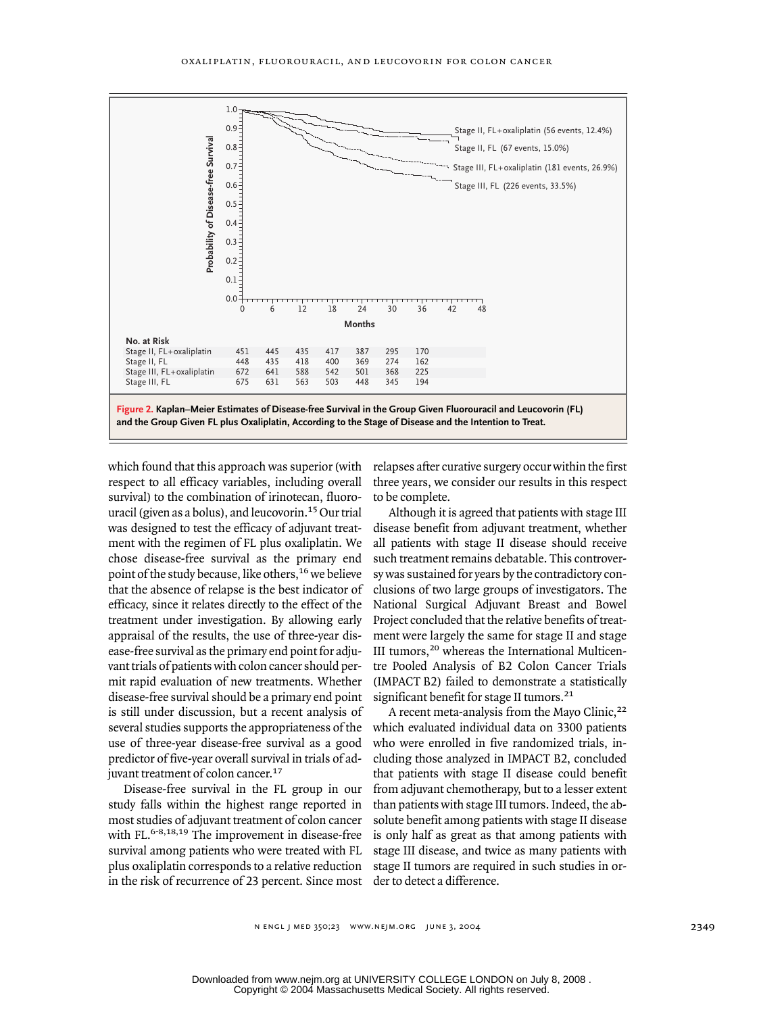

which found that this approach was superior (with respect to all efficacy variables, including overall survival) to the combination of irinotecan, fluorouracil (given as a bolus), and leucovorin.15 Our trial was designed to test the efficacy of adjuvant treatment with the regimen of FL plus oxaliplatin. We chose disease-free survival as the primary end point of the study because, like others,16 we believe that the absence of relapse is the best indicator of efficacy, since it relates directly to the effect of the treatment under investigation. By allowing early appraisal of the results, the use of three-year disease-free survival as the primary end point for adjuvant trials of patients with colon cancer should permit rapid evaluation of new treatments. Whether disease-free survival should be a primary end point is still under discussion, but a recent analysis of several studies supports the appropriateness of the use of three-year disease-free survival as a good predictor of five-year overall survival in trials of adjuvant treatment of colon cancer.<sup>17</sup>

Disease-free survival in the FL group in our study falls within the highest range reported in most studies of adjuvant treatment of colon cancer with FL.<sup>6-8,18,19</sup> The improvement in disease-free survival among patients who were treated with FL plus oxaliplatin corresponds to a relative reduction in the risk of recurrence of 23 percent. Since most relapses after curative surgery occur within the first three years, we consider our results in this respect to be complete.

Although it is agreed that patients with stage III disease benefit from adjuvant treatment, whether all patients with stage II disease should receive such treatment remains debatable. This controversy was sustained for years by the contradictory conclusions of two large groups of investigators. The National Surgical Adjuvant Breast and Bowel Project concluded that the relative benefits of treatment were largely the same for stage II and stage III tumors,<sup>20</sup> whereas the International Multicentre Pooled Analysis of B2 Colon Cancer Trials (IMPACT B2) failed to demonstrate a statistically significant benefit for stage II tumors.<sup>21</sup>

A recent meta-analysis from the Mayo Clinic,<sup>22</sup> which evaluated individual data on 3300 patients who were enrolled in five randomized trials, including those analyzed in IMPACT B2, concluded that patients with stage II disease could benefit from adjuvant chemotherapy, but to a lesser extent than patients with stage III tumors. Indeed, the absolute benefit among patients with stage II disease is only half as great as that among patients with stage III disease, and twice as many patients with stage II tumors are required in such studies in order to detect a difference.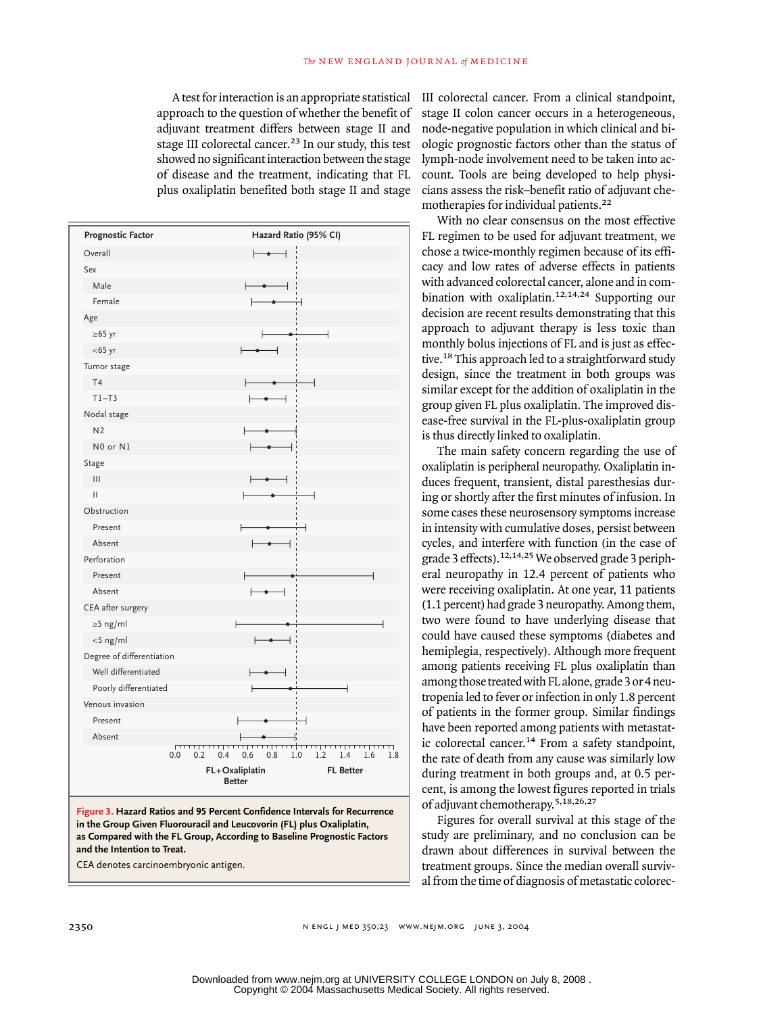A test for interaction is an appropriate statistical approach to the question of whether the benefit of adjuvant treatment differs between stage II and stage III colorectal cancer.<sup>23</sup> In our study, this test showed no significant interaction between the stage of disease and the treatment, indicating that FL plus oxaliplatin benefited both stage II and stage

| Prognostic Factor                | Hazard Ratio (95% CI)                                                                                    |
|----------------------------------|----------------------------------------------------------------------------------------------------------|
| Overall                          | $\overline{\phantom{a}}$                                                                                 |
| Sex                              |                                                                                                          |
| Male                             |                                                                                                          |
| Female                           | Н                                                                                                        |
| Age                              |                                                                                                          |
| $\ge 65$ yr                      |                                                                                                          |
| $< 65$ yr                        |                                                                                                          |
| Tumor stage                      |                                                                                                          |
| T <sub>4</sub>                   |                                                                                                          |
| $T1-T3$                          |                                                                                                          |
| Nodal stage                      |                                                                                                          |
| N <sub>2</sub>                   |                                                                                                          |
| N <sub>0</sub> or N <sub>1</sub> |                                                                                                          |
| Stage                            |                                                                                                          |
| III                              |                                                                                                          |
| $\mathbf{H}$                     |                                                                                                          |
| Obstruction                      |                                                                                                          |
| Present                          | ł                                                                                                        |
| Absent                           |                                                                                                          |
| Perforation                      |                                                                                                          |
| Present                          |                                                                                                          |
| Absent                           |                                                                                                          |
| CEA after surgery                |                                                                                                          |
| $\geq$ 5 ng/ml                   |                                                                                                          |
| $<$ 5 ng/ml                      |                                                                                                          |
| Degree of differentiation        |                                                                                                          |
| Well differentiated              |                                                                                                          |
| Poorly differentiated            |                                                                                                          |
| Venous invasion                  |                                                                                                          |
| Present                          |                                                                                                          |
| Absent                           |                                                                                                          |
| 0.0                              | <del>,,,,,,,,,,,,,,,,,,,,,,,,,,,,,,</del><br>0.2<br>0.4<br>0.6<br>0.8<br>1.0<br>1.2<br>1.4<br>1.6<br>1.8 |
|                                  | FL+Oxaliplatin<br><b>FL Better</b><br><b>Better</b>                                                      |

**Figure 3. Hazard Ratios and 95 Percent Confidence Intervals for Recurrence in the Group Given Fluorouracil and Leucovorin (FL) plus Oxaliplatin, as Compared with the FL Group, According to Baseline Prognostic Factors and the Intention to Treat.**

CEA denotes carcinoembryonic antigen.

III colorectal cancer. From a clinical standpoint, stage II colon cancer occurs in a heterogeneous, node-negative population in which clinical and biologic prognostic factors other than the status of lymph-node involvement need to be taken into account. Tools are being developed to help physicians assess the risk–benefit ratio of adjuvant chemotherapies for individual patients.<sup>22</sup>

With no clear consensus on the most effective FL regimen to be used for adjuvant treatment, we chose a twice-monthly regimen because of its efficacy and low rates of adverse effects in patients with advanced colorectal cancer, alone and in combination with oxaliplatin.<sup>12,14,24</sup> Supporting our decision are recent results demonstrating that this approach to adjuvant therapy is less toxic than monthly bolus injections of FL and is just as effective.18 This approach led to a straightforward study design, since the treatment in both groups was similar except for the addition of oxaliplatin in the group given FL plus oxaliplatin. The improved disease-free survival in the FL-plus-oxaliplatin group is thus directly linked to oxaliplatin.

The main safety concern regarding the use of oxaliplatin is peripheral neuropathy. Oxaliplatin induces frequent, transient, distal paresthesias during or shortly after the first minutes of infusion. In some cases these neurosensory symptoms increase in intensity with cumulative doses, persist between cycles, and interfere with function (in the case of grade 3 effects).12,14,25 We observed grade 3 peripheral neuropathy in 12.4 percent of patients who were receiving oxaliplatin. At one year, 11 patients (1.1 percent) had grade 3 neuropathy. Among them, two were found to have underlying disease that could have caused these symptoms (diabetes and hemiplegia, respectively). Although more frequent among patients receiving FL plus oxaliplatin than among those treated with FL alone, grade 3 or 4 neutropenia led to fever or infection in only 1.8 percent of patients in the former group. Similar findings have been reported among patients with metastatic colorectal cancer.14 From a safety standpoint, the rate of death from any cause was similarly low during treatment in both groups and, at 0.5 percent, is among the lowest figures reported in trials of adjuvant chemotherapy.5,18,26,27

Figures for overall survival at this stage of the study are preliminary, and no conclusion can be drawn about differences in survival between the treatment groups. Since the median overall survival from the time of diagnosis of metastatic colorec-